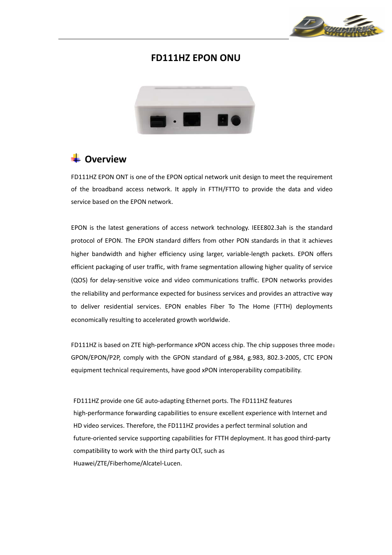

### **FD111HZ EPON ONU**



### **E** Overview

FD111HZ EPON ONT is one of the EPON optical network unit design to meet the requirement of the broadband access network. It apply in FTTH/FTTO to provide the data and video service based on the EPON network.

EPON is the latest generations of access network technology. IEEE802.3ah is the standard protocol of EPON. The EPON standard differs from other PON standards in that it achieves higher bandwidth and higher efficiency using larger, variable-length packets. EPON offers efficient packaging of user traffic, with frame segmentation allowing higher quality of service (QOS) for delay‐sensitive voice and video communications traffic. EPON networks provides the reliability and performance expected for business services and provides an attractive way to deliver residential services. EPON enables Fiber To The Home (FTTH) deployments economically resulting to accelerated growth worldwide.

FD111HZ is based on ZTE high-performance xPON access chip. The chip supposes three mode: GPON/EPON/P2P, comply with the GPON standard of g.984, g.983, 802.3‐2005, CTC EPON equipment technical requirements, have good xPON interoperability compatibility.

FD111HZ provide one GE auto-adapting Ethernet ports. The FD111HZ features high-performance forwarding capabilities to ensure excellent experience with Internet and HD video services. Therefore, the FD111HZ provides a perfect terminal solution and future-oriented service supporting capabilities for FTTH deployment. It has good third-party compatibility to work with the third party OLT, such as Huawei/ZTE/Fiberhome/Alcatel‐Lucen.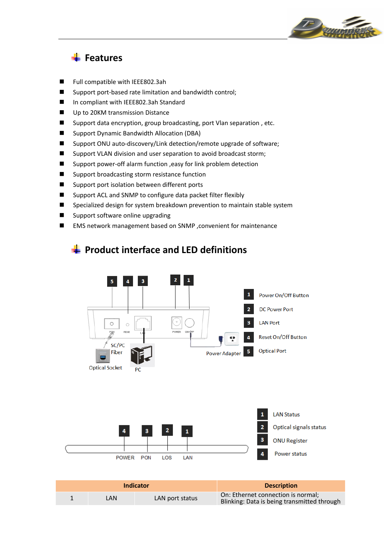

## **Features**

- Full compatible with IEEE802.3ah
- Support port-based rate limitation and bandwidth control;
- In compliant with IEEE802.3ah Standard
- Up to 20KM transmission Distance
- Support data encryption, group broadcasting, port Vlan separation, etc.
- Support Dynamic Bandwidth Allocation (DBA)
- Support ONU auto-discovery/Link detection/remote upgrade of software;
- Support VLAN division and user separation to avoid broadcast storm;
- Support power-off alarm function , easy for link problem detection
- Support broadcasting storm resistance function
- Support port isolation between different ports
- Support ACL and SNMP to configure data packet filter flexibly
- Specialized design for system breakdown prevention to maintain stable system
- Support software online upgrading
- EMS network management based on SNMP , convenient for maintenance



### **Product interface and LED definitions**

| Indicator |      |                 | <b>Description</b>                                                                |
|-----------|------|-----------------|-----------------------------------------------------------------------------------|
|           | LAN. | LAN port status | On: Ethernet connection is normal;<br>Blinking: Data is being transmitted through |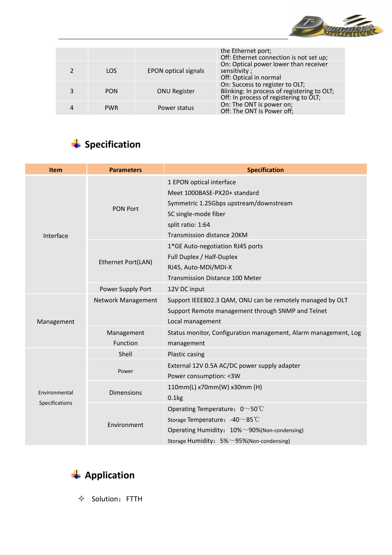

|            |                             | the Ethernet port;<br>Off: Ethernet connection is not set up;                                                            |
|------------|-----------------------------|--------------------------------------------------------------------------------------------------------------------------|
| LOS        | <b>EPON optical signals</b> | On: Optical power lower than receiver<br>sensitivity;<br>Off: Optical in normal                                          |
| <b>PON</b> | <b>ONU Register</b>         | On: Success to register to OLT;<br>Blinking: In process of registering to OLT;<br>Off: In process of registering to OLT; |
| <b>PWR</b> | Power status                | On: The ONT is power on;<br>Off: The ONT is Power off;                                                                   |

# **Specification**

| <b>Item</b>    | <b>Parameters</b>      | <b>Specification</b>                                                                                                                                                                         |
|----------------|------------------------|----------------------------------------------------------------------------------------------------------------------------------------------------------------------------------------------|
| Interface      | <b>PON Port</b>        | 1 EPON optical interface<br>Meet 1000BASE-PX20+ standard<br>Symmetric 1.25Gbps upstream/downstream<br>SC single-mode fiber<br>split ratio: 1:64<br>Transmission distance 20KM                |
|                | Ethernet Port(LAN)     | 1*GE Auto-negotiation RJ45 ports<br>Full Duplex / Half-Duplex<br>RJ45, Auto-MDI/MDI-X<br>Transmission Distance 100 Meter                                                                     |
|                | Power Supply Port      | 12V DC input                                                                                                                                                                                 |
| Management     | Network Management     | Support IEEE802.3 QAM, ONU can be remotely managed by OLT<br>Support Remote management through SNMP and Telnet<br>Local management                                                           |
|                | Management<br>Function | Status monitor, Configuration management, Alarm management, Log<br>management                                                                                                                |
|                | Shell                  | Plastic casing                                                                                                                                                                               |
|                | Power                  | External 12V 0.5A AC/DC power supply adapter<br>Power consumption: < 3W                                                                                                                      |
| Environmental  | <b>Dimensions</b>      | 110mm(L) x70mm(W) x30mm (H)<br>0.1kg                                                                                                                                                         |
| Specifications | Environment            | Operating Temperature: $0 \sim 50^{\circ}$ C<br>Storage Temperature: -40~85°C<br>Operating Humidity: $10\% \sim 90\%$ (Non-condensing)<br>Storage Humidity: $5\% \sim 95\%$ (Non-condensing) |



 $\diamond$  Solution: FTTH